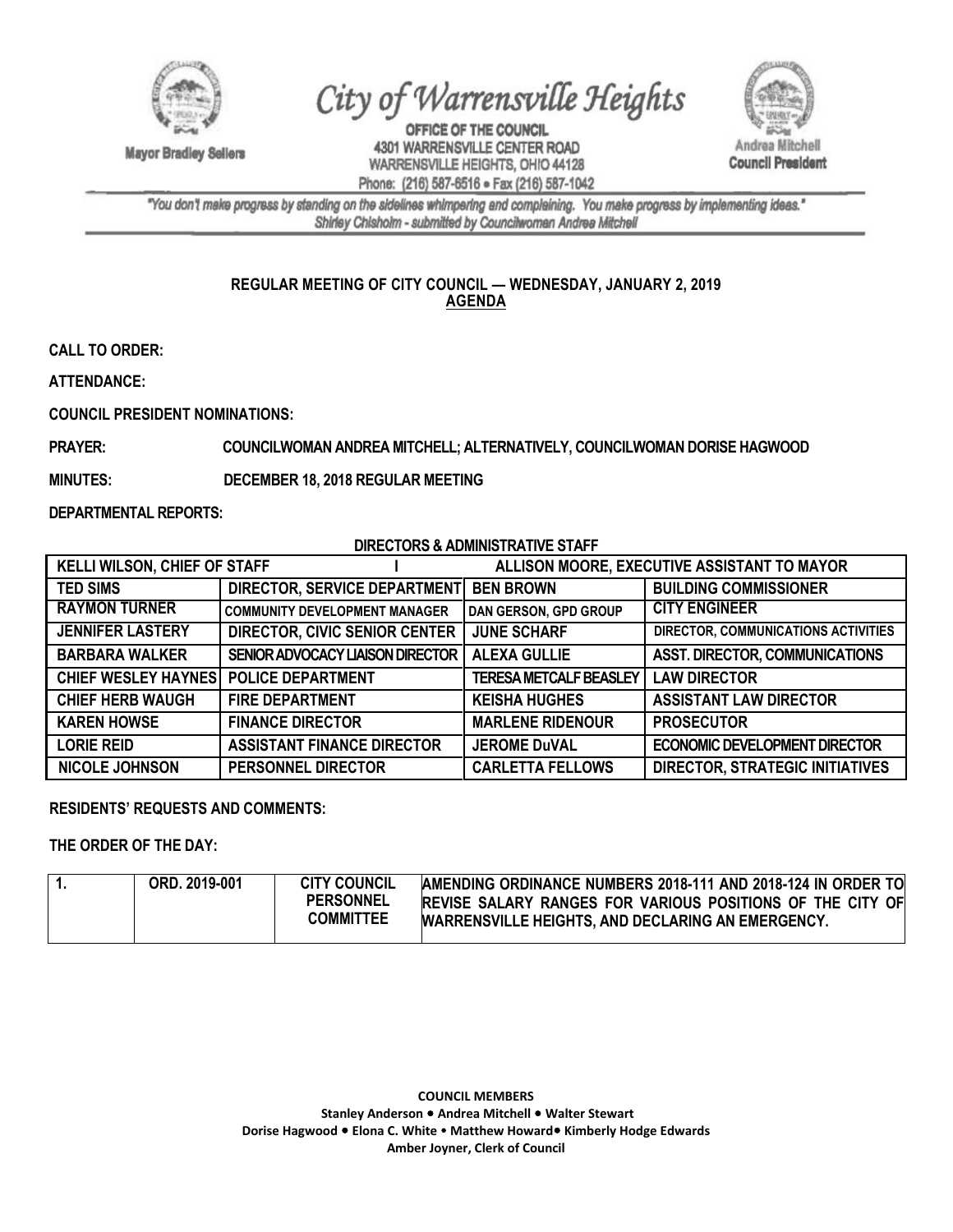

**Mayor Bradley Sellers** 

## City of Warrensville Heights

OFFICE OF THE COUNCIL 4301 WARRENSVILLE CENTER ROAD WARRENSVILLE HEIGHTS, OHIO 44128 Phone: (216) 587-6516 · Fax (216) 587-1042



"You don't make progress by standing on the sidelines whimpering and complaining. You make progress by implementing ideas." Shirley Chisholm - submitted by Councilwoman Andrea Mitchell

## **REGULAR MEETING OF CITY COUNCIL — WEDNESDAY, JANUARY 2, 2019 AGENDA**

**CALL TO ORDER:** 

**ATTENDANCE:**

**COUNCIL PRESIDENT NOMINATIONS:**

**PRAYER: COUNCILWOMAN ANDREA MITCHELL; ALTERNATIVELY, COUNCILWOMAN DORISE HAGWOOD** 

**MINUTES: DECEMBER 18, 2018 REGULAR MEETING**

**DEPARTMENTAL REPORTS:**

**DIRECTORS & ADMINISTRATIVE STAFF**

| <b>KELLI WILSON, CHIEF OF STAFF</b>   |                                      | ALLISON MOORE, EXECUTIVE ASSISTANT TO MAYOR |                                        |
|---------------------------------------|--------------------------------------|---------------------------------------------|----------------------------------------|
| <b>TED SIMS</b>                       | <b>DIRECTOR, SERVICE DEPARTMENT</b>  | <b>BEN BROWN</b>                            | <b>BUILDING COMMISSIONER</b>           |
| <b>RAYMON TURNER</b>                  | <b>COMMUNITY DEVELOPMENT MANAGER</b> | DAN GERSON, GPD GROUP                       | <b>CITY ENGINEER</b>                   |
| <b>JENNIFER LASTERY</b>               | <b>DIRECTOR, CIVIC SENIOR CENTER</b> | <b>JUNE SCHARF</b>                          | DIRECTOR, COMMUNICATIONS ACTIVITIES    |
| <b>BARBARA WALKER</b>                 | SENIOR ADVOCACY LIAISON DIRECTOR     | <b>ALEXA GULLIE</b>                         | <b>ASST. DIRECTOR, COMMUNICATIONS</b>  |
| CHIEF WESLEY HAYNES POLICE DEPARTMENT |                                      | <b>TERESA METCALF BEASLEY</b>               | <b>LAW DIRECTOR</b>                    |
| <b>CHIEF HERB WAUGH</b>               | <b>FIRE DEPARTMENT</b>               | <b>KEISHA HUGHES</b>                        | <b>ASSISTANT LAW DIRECTOR</b>          |
| <b>KAREN HOWSE</b>                    | <b>FINANCE DIRECTOR</b>              | <b>MARLENE RIDENOUR</b>                     | <b>PROSECUTOR</b>                      |
| <b>LORIE REID</b>                     | <b>ASSISTANT FINANCE DIRECTOR</b>    | <b>JEROME DuVAL</b>                         | <b>ECONOMIC DEVELOPMENT DIRECTOR</b>   |
| <b>NICOLE JOHNSON</b>                 | <b>PERSONNEL DIRECTOR</b>            | <b>CARLETTA FELLOWS</b>                     | <b>DIRECTOR, STRATEGIC INITIATIVES</b> |

## **RESIDENTS' REQUESTS AND COMMENTS:**

**THE ORDER OF THE DAY:**

|  | ORD, 2019-001 | <b>CITY COUNCIL</b><br><b>PERSONNEL</b><br><b>COMMITTEE</b> | AMENDING ORDINANCE NUMBERS 2018-111 AND 2018-124 IN ORDER TO<br><b>IREVISE SALARY RANGES FOR VARIOUS POSITIONS OF THE CITY OF</b><br><b>WARRENSVILLE HEIGHTS, AND DECLARING AN EMERGENCY.</b> |
|--|---------------|-------------------------------------------------------------|-----------------------------------------------------------------------------------------------------------------------------------------------------------------------------------------------|
|--|---------------|-------------------------------------------------------------|-----------------------------------------------------------------------------------------------------------------------------------------------------------------------------------------------|